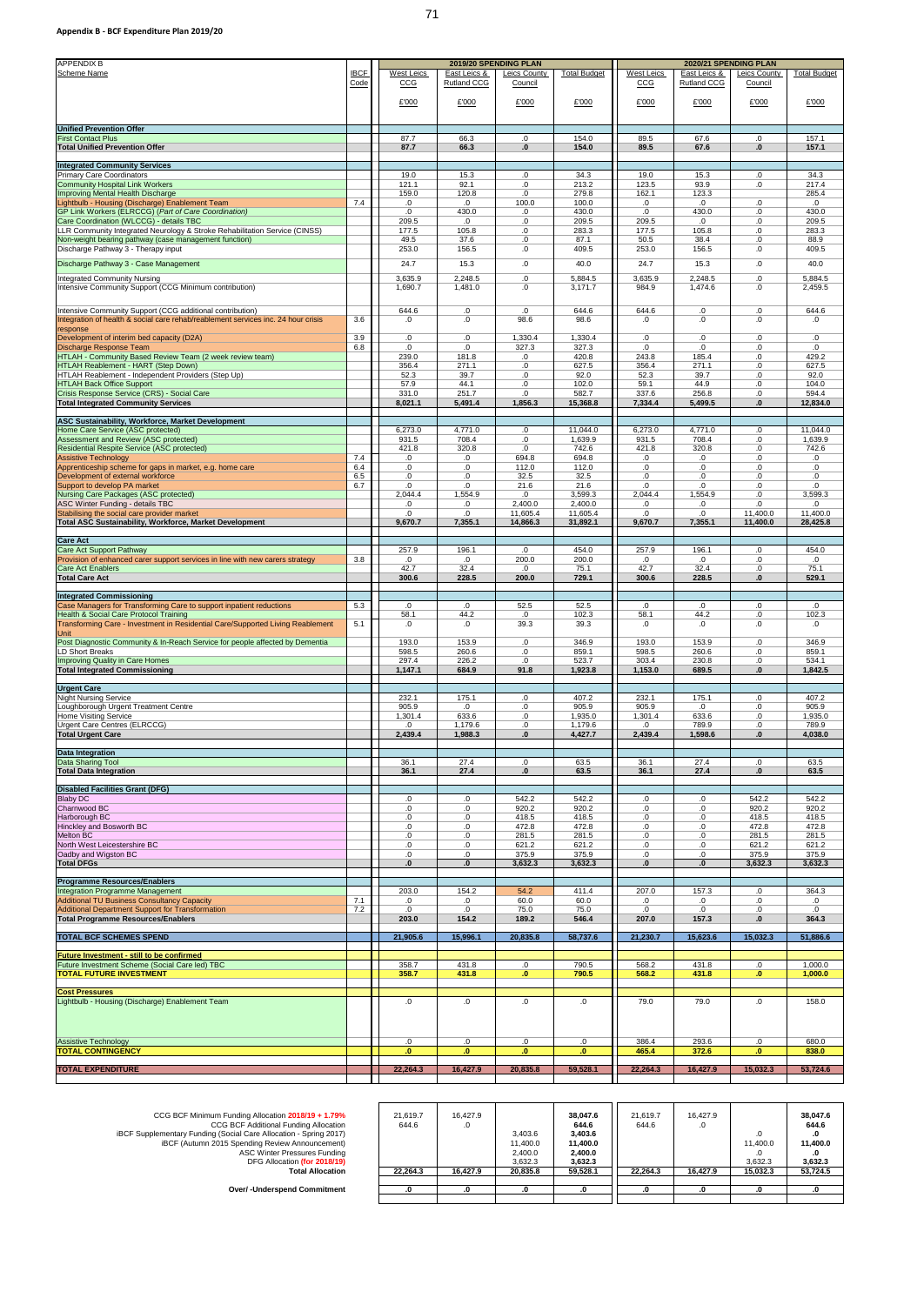| <b>APPENDIX B</b><br><b>Scheme Name</b>                                                                                                        | <b>IBCF</b> | <b>West Leics</b> | 2019/20 SPENDING PLAN<br>East Leics & | <b>Leics County</b>  | <b>Total Budget</b>  | <b>West Leics</b> | 2020/21 SPENDING PLAN<br>East Leics & | <b>Leics County</b>  | <b>Total Budget</b>  |
|------------------------------------------------------------------------------------------------------------------------------------------------|-------------|-------------------|---------------------------------------|----------------------|----------------------|-------------------|---------------------------------------|----------------------|----------------------|
|                                                                                                                                                | Code        | CCG               | <b>Rutland CCG</b>                    | Council              |                      | CCG               | <b>Rutland CCG</b>                    | Council              |                      |
|                                                                                                                                                |             | £'000             | £'000                                 | £'000                | £'000                | £'000             | £'000                                 | £'000                | £'000                |
|                                                                                                                                                |             |                   |                                       |                      |                      |                   |                                       |                      |                      |
| <b>Unified Prevention Offer</b><br><b>First Contact Plus</b>                                                                                   |             | 87.7              | 66.3                                  | 0.                   | 154.0                | 89.5              | 67.6                                  | 0.                   | 157.1                |
| <b>Total Unified Prevention Offer</b>                                                                                                          |             | 87.7              | 66.3                                  | $\mathbf{0}$         | 154.0                | 89.5              | 67.6                                  | $\mathbf{0}$         | 157.1                |
| <b>Integrated Community Services</b><br><b>Primary Care Coordinators</b>                                                                       |             | 19.0              | 15.3                                  | 0.                   | 34.3                 | 19.0              | 15.3                                  | $.0\,$               | 34.3                 |
| <b>Community Hospital Link Workers</b><br>Improving Mental Health Discharge                                                                    |             | 121.1<br>159.0    | 92.1<br>120.8                         | 0.<br>0.             | 213.2<br>279.8       | 123.5<br>162.1    | 93.9<br>123.3                         | 0.                   | 217.4<br>285.4       |
| Lightbulb - Housing (Discharge) Enablement Team<br>GP Link Workers (ELRCCG) (Part of Care Coordination)                                        | 7.4         | 0.<br>.0          | 0.<br>430.0                           | 100.0<br>0.          | 100.0<br>430.0       | 0.<br>0.          | 0.<br>430.0                           | 0.<br>0.             | .0<br>430.0          |
| Care Coordination (WLCCG) - details TBC                                                                                                        |             | 209.5             | .0                                    | 0.                   | 209.5                | 209.5             | 0.                                    | 0.                   | 209.5                |
| LLR Community Integrated Neurology & Stroke Rehabilitation Service (CINSS)<br>Non-weight bearing pathway (case management function)            |             | 177.5<br>49.5     | 105.8<br>37.6                         | 0.<br>0.             | 283.3<br>87.1        | 177.5<br>50.5     | 105.8<br>38.4                         | $0.5\,$<br>$.0\,$    | 283.3<br>88.9        |
| Discharge Pathway 3 - Therapy input                                                                                                            |             | 253.0             | 156.5                                 | $.0 \,$              | 409.5                | 253.0             | 156.5                                 | $0.5\,$              | 409.5                |
| Discharge Pathway 3 - Case Management<br><b>Integrated Community Nursing</b>                                                                   |             | 24.7<br>3,635.9   | 15.3<br>2,248.5                       | 0.<br>0.             | 40.0<br>5,884.5      | 24.7<br>3,635.9   | 15.3<br>2,248.5                       | 0.<br>.0             | 40.0<br>5,884.5      |
| Intensive Community Support (CCG Minimum contribution)                                                                                         |             | 1,690.7           | 1,481.0                               | 0.                   | 3,171.7              | 984.9             | 1,474.6                               | 0.                   | 2,459.5              |
| Intensive Community Support (CCG additional contribution)<br>Integration of health & social care rehab/reablement services inc. 24 hour crisis | 3.6         | 644.6<br>.0       | 0.<br>0.                              | 0.<br>98.6           | 644.6<br>98.6        | 644.6<br>$\Omega$ | 0.<br>.0                              | .0<br>0.             | 644.6<br>.0          |
| response<br>Development of interim bed capacity (D2A)                                                                                          | 3.9         | 0.                | 0.                                    | 1,330.4              | 1,330.4              | 0.                | 0.                                    | .0                   | 0.                   |
| Discharge Response Team<br>HTLAH - Community Based Review Team (2 week review team)                                                            | 6.8         | .0<br>239.0       | .0<br>181.8                           | 327.3<br>.0          | 327.3<br>420.8       | .0<br>243.8       | 0.<br>185.4                           | .0<br>.0             | .0<br>429.2          |
| <b>HTLAH Reablement - HART (Step Down)</b><br>HTLAH Reablement - Independent Providers (Step Up)                                               |             | 356.4<br>52.3     | 271.1<br>39.7                         | .0<br>0.             | 627.5<br>92.0        | 356.4<br>52.3     | 271.1<br>39.7                         | .0<br>.0             | 627.5<br>92.0        |
| <b>HTLAH Back Office Support</b><br>Crisis Response Service (CRS) - Social Care                                                                |             | 57.9<br>331.0     | 44.1<br>251.7                         | .0<br>0.             | 102.0<br>582.7       | 59.1<br>337.6     | 44.9<br>256.8                         | .0<br>.0             | 104.0<br>594.4       |
| <b>Total Integrated Community Services</b>                                                                                                     |             | 8,021.1           | 5,491.4                               | 1,856.3              | 15,368.8             | 7,334.4           | 5,499.5                               | $\bf{.0}$            | 12,834.0             |
| <b>ASC Sustainability, Workforce, Market Development</b>                                                                                       |             |                   |                                       |                      |                      |                   |                                       |                      |                      |
| Home Care Service (ASC protected)<br>Assessment and Review (ASC protected)                                                                     |             | 6,273.0<br>931.5  | 4,771.0<br>708.4                      | .0<br>0.             | 11,044.0<br>1,639.9  | 6,273.0<br>931.5  | 4,771.0<br>708.4                      | .0<br>.0             | 11,044.0<br>1,639.9  |
| <b>Residential Respite Service (ASC protected)</b><br><b>Assistive Technology</b>                                                              | 7.4         | 421.8<br>.0       | 320.8<br>0.                           | 0.<br>694.8          | 742.6<br>694.8       | 421.8<br>.0       | 320.8<br>.0                           | .0<br>.0             | 742.6<br>0.          |
| Apprenticeship scheme for gaps in market, e.g. home care<br>Development of external workforce                                                  | 6.4<br>6.5  | 0.<br>0.          | 0.<br>0.                              | 112.0<br>32.5        | 112.0<br>32.5        | .0<br>.0          | 0.<br>0.                              | .0<br>.0             | 0.<br>0.             |
| Support to develop PA market                                                                                                                   | 6.7         | 0.                | 0.                                    | 21.6                 | 21.6                 | $\Omega$          | 0.                                    | $.0\,$               | 0.                   |
| <b>Nursing Care Packages (ASC protected)</b><br>ASC Winter Funding - details TBC                                                               |             | 2,044.4<br>.0     | 1,554.9<br>0.                         | .0<br>2,400.0        | 3,599.3<br>2,400.0   | 2,044.4<br>.0     | 1,554.9<br>.0                         | .0<br>0.             | 3,599.3<br>0         |
| Stabilising the social care provider market<br><b>Total ASC Sustainability, Workforce, Market Development</b>                                  |             | 0.<br>9,670.7     | 0.<br>7,355.1                         | 11,605.4<br>14,866.3 | 11,605.4<br>31,892.1 | .0<br>9,670.7     | 0.<br>7,355.1                         | 11,400.0<br>11,400.0 | 11,400.0<br>28,425.8 |
| <b>Care Act</b>                                                                                                                                |             |                   |                                       |                      |                      |                   |                                       |                      |                      |
| <b>Care Act Support Pathway</b><br>Provision of enhanced carer support services in line with new carers strategy                               | 3.8         | 257.9<br>.0       | 196.1<br>0.                           | .0<br>200.0          | 454.0<br>200.0       | 257.9<br>.0       | 196.1<br>.0                           | 0.<br>.0             | 454.0<br>.0          |
| <b>Care Act Enablers</b><br><b>Total Care Act</b>                                                                                              |             | 42.7<br>300.6     | 32.4<br>228.5                         | .0<br>200.0          | 75.1<br>729.1        | 42.7<br>300.6     | 32.4<br>228.5                         | .0<br>$\mathbf{0}$   | 75.1<br>529.1        |
| <b>Integrated Commissioning</b>                                                                                                                |             |                   |                                       |                      |                      |                   |                                       |                      |                      |
| Case Managers for Transforming Care to support inpatient reductions                                                                            | 5.3         | .0                | .0                                    | 52.5                 | 52.5                 | .0                | $\cdot$                               | .0                   | .0                   |
| <b>Health &amp; Social Care Protocol Training</b><br>Transforming Care - Investment in Residential Care/Supported Living Reablement            | 5.1         | 58.1<br>.0        | 44.2<br>.0                            | .0<br>39.3           | 102.3<br>39.3        | 58.1<br>.0        | 44.2<br>.0                            | $.0\,$<br>.0         | 102.3<br>.0          |
| Unit<br>Post Diagnostic Community & In-Reach Service for people affected by Dementia                                                           |             | 193.0             | 153.9                                 | 0.                   | 346.9                | 193.0             | 153.9                                 | .0                   | 346.9                |
| <b>LD Short Breaks</b><br><b>Improving Quality in Care Homes</b>                                                                               |             | 598.5<br>297.4    | 260.6<br>226.2                        | 0.<br>0.             | 859.1<br>523.7       | 598.5<br>303.4    | 260.6<br>230.8                        | 0.<br>.0             | 859.1<br>534.1       |
| <b>Total Integrated Commissioning</b>                                                                                                          |             | 1,147.1           | 684.9                                 | 91.8                 | 1,923.8              | 1,153.0           | 689.5                                 | $\mathbf{0}$         | 1,842.5              |
| <b>Urgent Care</b>                                                                                                                             |             |                   |                                       |                      |                      |                   |                                       |                      |                      |
| <b>Night Nursing Service</b><br>Loughborough Urgent Treatment Centre                                                                           |             | 232.1<br>905.9    | 175.1<br>.0                           | 0.<br>.0             | 407.2<br>905.9       | 232.1<br>905.9    | 175.1<br>$\cdot$                      | .0<br>0.             | 407.2<br>905.9       |
| <b>Home Visiting Service</b><br>Urgent Care Centres (ELRCCG)                                                                                   |             | 1,301.4<br>.0     | 633.6<br>1,179.6                      | 0.<br>0.             | 1,935.0<br>1,179.6   | 1,301.4<br>.0     | 633.6<br>789.9                        | $.0\,$<br>$.0\,$     | 1,935.0<br>789.9     |
| <b>Total Urgent Care</b>                                                                                                                       |             | 2,439.4           | 1,988.3                               | $\mathbf{0}$         | 4,427.7              | 2,439.4           | 1,598.6                               | $\mathbf{0}$         | 4,038.0              |
| <b>Data Integration</b><br><b>Data Sharing Tool</b>                                                                                            |             | 36.1              | 27.4                                  | .0                   | 63.5                 | 36.1              | 27.4                                  | 0.                   | 63.5                 |
| <b>Total Data Integration</b>                                                                                                                  |             | 36.1              | 27.4                                  | $\mathbf{0}$         | 63.5                 | 36.1              | 27.4                                  | $\mathbf{0}$         | 63.5                 |
| <b>Disabled Facilities Grant (DFG)</b>                                                                                                         |             |                   |                                       |                      |                      |                   |                                       |                      |                      |
| <b>Blaby DC</b><br>Charnwood BC                                                                                                                |             | .0<br>.0          | .0<br>.0                              | 542.2<br>920.2       | 542.2<br>920.2       | 0.<br>.0          | .0<br>0.                              | 542.2<br>920.2       | 542.2<br>920.2       |
| Harborough BC<br>Hinckley and Bosworth BC                                                                                                      |             | .0<br>.0          | .0<br>.0                              | 418.5<br>472.8       | 418.5<br>472.8       | 0.<br>0.          | 0.<br>0.                              | 418.5<br>472.8       | 418.5<br>472.8       |
| <b>Melton BC</b><br>North West Leicestershire BC                                                                                               |             | .0<br>.0          | .0<br>.0                              | 281.5<br>621.2       | 281.5<br>621.2       | 0.<br>.0          | 0.<br>0.                              | 281.5<br>621.2       | 281.5<br>621.2       |
| Oadby and Wigston BC<br><b>Total DFGs</b>                                                                                                      |             | .0<br>.0          | 0.<br>$\mathbf{0}$ .                  | 375.9<br>3,632.3     | 375.9<br>3,632.3     | 0.<br>.0          | 0.<br>$\mathbf{0}$ .                  | 375.9<br>3,632.3     | 375.9<br>3,632.3     |
| <b>Programme Resources/Enablers</b>                                                                                                            |             |                   |                                       |                      |                      |                   |                                       |                      |                      |
| Integration Programme Management                                                                                                               |             | 203.0             | 154.2                                 | 54.2                 | 411.4                | 207.0             | 157.3                                 | .0                   | 364.3                |
| <b>Additional TU Business Consultancy Capacity</b><br><b>Additional Department Support for Transformation</b>                                  | 7.1<br>7.2  | .0<br>.0          | 0.<br>0.                              | 60.0<br>75.0         | 60.0<br>75.0         | .0<br>.0          | .0<br>0.                              | .0<br>.0             | 0.<br>0.             |
| <b>Total Programme Resources/Enablers</b>                                                                                                      |             | 203.0             | 154.2                                 | 189.2                | 546.4                | 207.0             | 157.3                                 | $\mathbf{0}$         | 364.3                |
| <b>TOTAL BCF SCHEMES SPEND</b>                                                                                                                 |             | 21,905.6          | 15,996.1                              | 20,835.8             | 58,737.6             | 21,230.7          | 15,623.6                              | 15,032.3             | 51,886.6             |
| <b>Future Investment - still to be confirmed</b><br>Future Investment Scheme (Social Care led) TBC                                             |             | 358.7             | 431.8                                 | .0                   | 790.5                | 568.2             | 431.8                                 | .0                   | 1,000.0              |
| <b>TOTAL FUTURE INVESTMENT</b>                                                                                                                 |             | 358.7             | 431.8                                 | $\mathbf{.0}$        | 790.5                | 568.2             | 431.8                                 | $\cdot$ 0            | 1,000.0              |
| <b>Cost Pressures</b>                                                                                                                          |             |                   |                                       |                      |                      |                   |                                       |                      |                      |
| Lightbulb - Housing (Discharge) Enablement Team                                                                                                |             | 0.                | .0                                    | 0.                   | .0                   | 79.0              | 79.0                                  | 0.                   | 158.0                |
|                                                                                                                                                |             |                   |                                       |                      |                      |                   |                                       |                      |                      |
| <b>Assistive Technology</b>                                                                                                                    |             | 0.                | 0.                                    | 0.                   | 0.                   | 386.4             | 293.6                                 | .0                   | 680.0                |
| <b>TOTAL CONTINGENCY</b>                                                                                                                       |             | $\mathbf{0}$ .    | $\mathbf{0}$ .                        | $\mathbf{0}$ .       | $\mathbf{0}$         | 465.4             | 372.6                                 | $\mathbf{0}$ .       | 838.0                |
| <b>TOTAL EXPENDITURE</b>                                                                                                                       |             | 22,264.3          | 16,427.9                              | 20,835.8             | 59,528.1             | 22,264.3          | 16,427.9                              | 15,032.3             | 53,724.6             |

| CCG BCF Minimum Funding Allocation 2018/19 + 1.79%<br><b>CCG BCF Additional Funding Allocation</b><br><b>iBCF Supplementary Funding (Social Care Allocation - Spring 2017)</b><br>iBCF (Autumn 2015 Spending Review Announcement)<br><b>ASC Winter Pressures Funding</b> | 21,619.7<br>644.6 | 16,427.9<br>.0 | 3,403.6<br>11,400.0<br>2,400.0 | 38,047.6<br>644.6<br>3,403.6<br>11,400.0<br>2,400.0 | 21,619.7<br>644.6 | 16,427.9<br>.v | .0<br>11,400.0      | 38,047.6<br>644.6<br>.U<br>11,400.0 |
|--------------------------------------------------------------------------------------------------------------------------------------------------------------------------------------------------------------------------------------------------------------------------|-------------------|----------------|--------------------------------|-----------------------------------------------------|-------------------|----------------|---------------------|-------------------------------------|
| DFG Allocation (for 2018/19)<br><b>Total Allocation</b>                                                                                                                                                                                                                  | 22,264.3          | 16,427.9       | 3,632.3<br>20,835.8            | 3,632.3<br>59,528.1                                 | 22,264.3          | 16,427.9       | 3,632.3<br>15,032.3 | 3,632.3<br>53,724.5                 |
| <b>Over/-Underspend Commitment</b>                                                                                                                                                                                                                                       |                   |                |                                | .v                                                  |                   |                | .u                  |                                     |